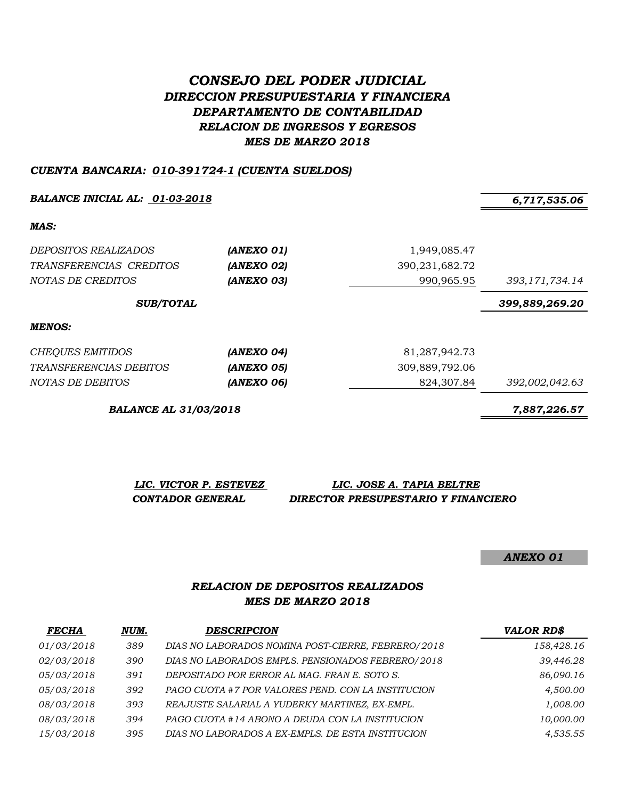# *CONSEJO DEL PODER JUDICIAL DIRECCION PRESUPUESTARIA Y FINANCIERA DEPARTAMENTO DE CONTABILIDAD RELACION DE INGRESOS Y EGRESOS MES DE MARZO 2018*

#### *CUENTA BANCARIA: 010-391724-1 (CUENTA SUELDOS)*

*BALANCE INICIAL AL: 01-03-2018 6,717,535.06*

*MAS:*

| <i>DEPOSITOS REALIZADOS</i><br>TRANSFERENCIAS CREDITOS<br>NOTAS DE CREDITOS | (ANEXO 01)<br>(ANEXO 02)<br>(ANEXO 03) | 1,949,085.47<br>390, 231, 682. 72<br>990,965.95 | 393, 171, 734. 14 |
|-----------------------------------------------------------------------------|----------------------------------------|-------------------------------------------------|-------------------|
| <b>SUB/TOTAL</b>                                                            |                                        |                                                 | 399,889,269.20    |
| <b>MENOS:</b>                                                               |                                        |                                                 |                   |
| <b>CHEQUES EMITIDOS</b>                                                     | (ANEXO 04)                             | 81,287,942.73                                   |                   |
| <i>TRANSFERENCIAS DEBITOS</i>                                               | (ANEXO 05)                             | 309,889,792.06                                  |                   |
| NOTAS DE DEBITOS                                                            | (ANEXO 06)                             | 824,307.84                                      | 392,002,042.63    |

*BALANCE AL 31/03/2018 7,887,226.57*

*LIC. VICTOR P. ESTEVEZ LIC. JOSE A. TAPIA BELTRE CONTADOR GENERAL DIRECTOR PRESUPESTARIO Y FINANCIERO*

*ANEXO 01*

## *RELACION DE DEPOSITOS REALIZADOS MES DE MARZO 2018*

| <b>FECHA</b> | NUM. | <b>DESCRIPCION</b>                                 | <b>VALOR RD\$</b> |
|--------------|------|----------------------------------------------------|-------------------|
| 01/03/2018   | 389  | DIAS NO LABORADOS NOMINA POST-CIERRE, FEBRERO/2018 | 158,428.16        |
| 02/03/2018   | 390  | DIAS NO LABORADOS EMPLS. PENSIONADOS FEBRERO/2018  | 39,446.28         |
| 05/03/2018   | 391  | DEPOSITADO POR ERROR AL MAG. FRAN E. SOTO S.       | 86,090.16         |
| 05/03/2018   | 392  | PAGO CUOTA #7 POR VALORES PEND. CON LA INSTITUCION | 4,500.00          |
| 08/03/2018   | 393  | REAJUSTE SALARIAL A YUDERKY MARTINEZ, EX-EMPL.     | 1,008.00          |
| 08/03/2018   | 394  | PAGO CUOTA #14 ABONO A DEUDA CON LA INSTITUCION    | 10,000.00         |
| 15/03/2018   | 395  | DIAS NO LABORADOS A EX-EMPLS. DE ESTA INSTITUCION  | 4,535.55          |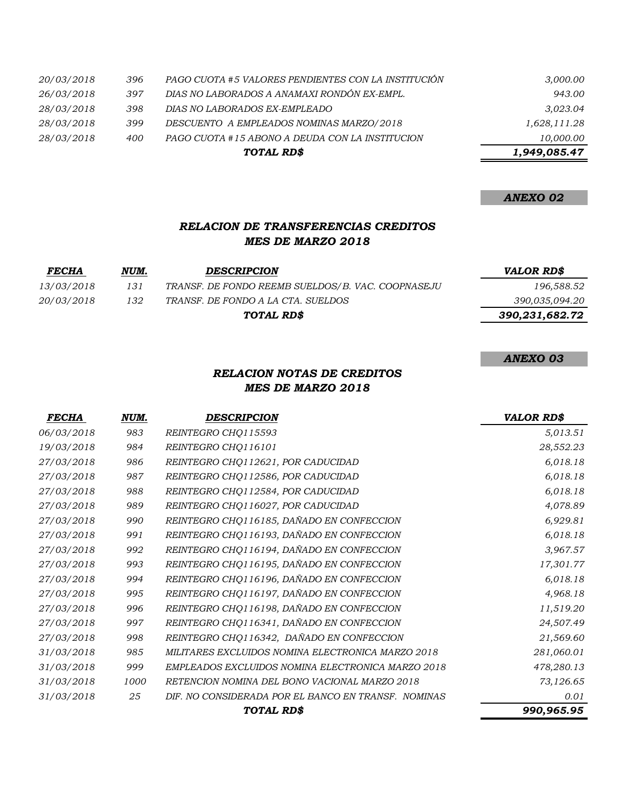|                   |     | TOTAL RD\$                                          | 1,949,085.47 |
|-------------------|-----|-----------------------------------------------------|--------------|
| 28/03/2018        | 400 | PAGO CUOTA #15 ABONO A DEUDA CON LA INSTITUCION     | 10,000.00    |
| 28/03/2018        | 399 | DESCUENTO A EMPLEADOS NOMINAS MARZO/2018            | 1,628,111.28 |
| 28/03/2018        | 398 | DIAS NO LABORADOS EX-EMPLEADO                       | 3,023.04     |
| 26/03/2018        | 397 | DIAS NO LABORADOS A ANAMAXI RONDÓN EX-EMPL.         | 943.00       |
| <i>20/03/2018</i> | 396 | PAGO CUOTA #5 VALORES PENDIENTES CON LA INSTITUCIÓN | 3,000.00     |

#### *ANEXO 02*

#### *RELACION DE TRANSFERENCIAS CREDITOS MES DE MARZO 2018*

| <b>FECHA</b> | NUM. | <b>DESCRIPCION</b>                                | <b>VALOR RD\$</b> |
|--------------|------|---------------------------------------------------|-------------------|
| 13/03/2018   | 131  | TRANSF. DE FONDO REEMB SUELDOS/B. VAC. COOPNASEJU | 196,588.52        |
| 20/03/2018   | 132  | TRANSF. DE FONDO A LA CTA. SUELDOS                | 390,035,094.20    |
|              |      | TOTAL RD\$                                        | 390,231,682.72    |

# *ANEXO 03*

# *RELACION NOTAS DE CREDITOS MES DE MARZO 2018*

| <b>FECHA</b> | NUM. | <b>DESCRIPCION</b>                                  | <b>VALOR RD\$</b> |
|--------------|------|-----------------------------------------------------|-------------------|
| 06/03/2018   | 983  | REINTEGRO CHQ115593                                 | 5,013.51          |
| 19/03/2018   | 984  | REINTEGRO CHQ116101                                 | 28,552.23         |
| 27/03/2018   | 986  | REINTEGRO CHQ112621, POR CADUCIDAD                  | 6,018.18          |
| 27/03/2018   | 987  | REINTEGRO CHQ112586, POR CADUCIDAD                  | 6,018.18          |
| 27/03/2018   | 988  | REINTEGRO CHQ112584, POR CADUCIDAD                  | 6,018.18          |
| 27/03/2018   | 989  | REINTEGRO CHQ116027, POR CADUCIDAD                  | 4,078.89          |
| 27/03/2018   | 990  | REINTEGRO CHQ116185, DAÑADO EN CONFECCION           | 6,929.81          |
| 27/03/2018   | 991  | REINTEGRO CHQ116193, DAÑADO EN CONFECCION           | 6,018.18          |
| 27/03/2018   | 992  | REINTEGRO CHQ116194, DAÑADO EN CONFECCION           | 3,967.57          |
| 27/03/2018   | 993  | REINTEGRO CHQ116195, DAÑADO EN CONFECCION           | 17,301.77         |
| 27/03/2018   | 994  | REINTEGRO CHQ116196, DAÑADO EN CONFECCION           | 6,018.18          |
| 27/03/2018   | 995  | REINTEGRO CHQ116197, DAÑADO EN CONFECCION           | 4,968.18          |
| 27/03/2018   | 996  | REINTEGRO CHQ116198, DAÑADO EN CONFECCION           | 11,519.20         |
| 27/03/2018   | 997  | REINTEGRO CHQ116341, DAÑADO EN CONFECCION           | 24,507.49         |
| 27/03/2018   | 998  | REINTEGRO CHQ116342, DAÑADO EN CONFECCION           | 21,569.60         |
| 31/03/2018   | 985  | MILITARES EXCLUIDOS NOMINA ELECTRONICA MARZO 2018   | 281,060.01        |
| 31/03/2018   | 999  | EMPLEADOS EXCLUIDOS NOMINA ELECTRONICA MARZO 2018   | 478,280.13        |
| 31/03/2018   | 1000 | RETENCION NOMINA DEL BONO VACIONAL MARZO 2018       | 73,126.65         |
| 31/03/2018   | 25   | DIF. NO CONSIDERADA POR EL BANCO EN TRANSF. NOMINAS | 0.01              |
|              |      | TOTAL RD\$                                          | 990,965.95        |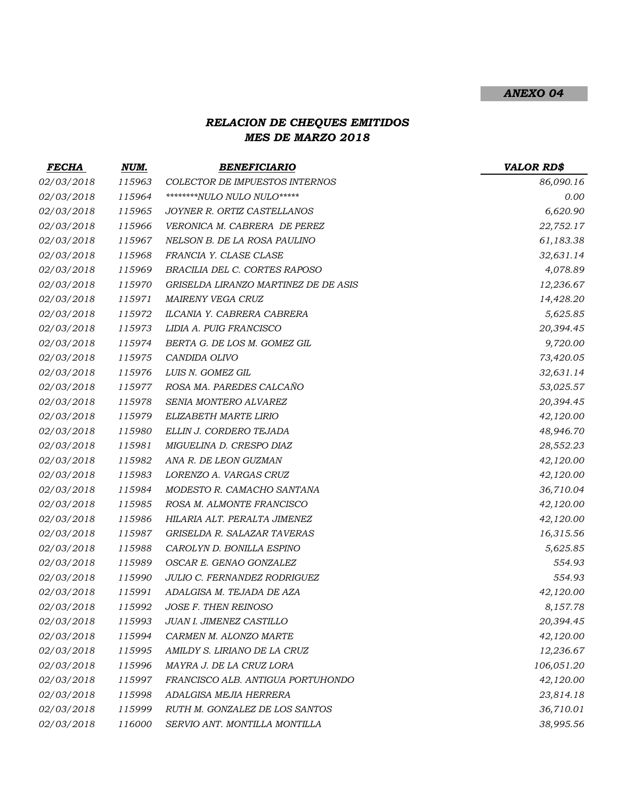# *ANEXO 04*

# *RELACION DE CHEQUES EMITIDOS MES DE MARZO 2018*

| <b>FECHA</b> | NUM.   | <b>BENEFICIARIO</b>                  | <b>VALOR RD\$</b> |
|--------------|--------|--------------------------------------|-------------------|
| 02/03/2018   | 115963 | COLECTOR DE IMPUESTOS INTERNOS       | 86,090.16         |
| 02/03/2018   | 115964 | ********NULO NULO NULO*****          | 0.00              |
| 02/03/2018   | 115965 | JOYNER R. ORTIZ CASTELLANOS          | 6,620.90          |
| 02/03/2018   | 115966 | VERONICA M. CABRERA DE PEREZ         | 22,752.17         |
| 02/03/2018   | 115967 | NELSON B. DE LA ROSA PAULINO         | 61,183.38         |
| 02/03/2018   | 115968 | FRANCIA Y. CLASE CLASE               | 32,631.14         |
| 02/03/2018   | 115969 | BRACILIA DEL C. CORTES RAPOSO        | 4,078.89          |
| 02/03/2018   | 115970 | GRISELDA LIRANZO MARTINEZ DE DE ASIS | 12,236.67         |
| 02/03/2018   | 115971 | MAIRENY VEGA CRUZ                    | 14,428.20         |
| 02/03/2018   | 115972 | ILCANIA Y. CABRERA CABRERA           | 5,625.85          |
| 02/03/2018   | 115973 | LIDIA A. PUIG FRANCISCO              | 20,394.45         |
| 02/03/2018   | 115974 | BERTA G. DE LOS M. GOMEZ GIL         | 9,720.00          |
| 02/03/2018   | 115975 | CANDIDA OLIVO                        | 73,420.05         |
| 02/03/2018   | 115976 | LUIS N. GOMEZ GIL                    | 32,631.14         |
| 02/03/2018   | 115977 | ROSA MA. PAREDES CALCAÑO             | 53,025.57         |
| 02/03/2018   | 115978 | SENIA MONTERO ALVAREZ                | 20,394.45         |
| 02/03/2018   | 115979 | ELIZABETH MARTE LIRIO                | 42,120.00         |
| 02/03/2018   | 115980 | ELLIN J. CORDERO TEJADA              | 48,946.70         |
| 02/03/2018   | 115981 | MIGUELINA D. CRESPO DIAZ             | 28,552.23         |
| 02/03/2018   | 115982 | ANA R. DE LEON GUZMAN                | 42,120.00         |
| 02/03/2018   | 115983 | LORENZO A. VARGAS CRUZ               | 42,120.00         |
| 02/03/2018   | 115984 | MODESTO R. CAMACHO SANTANA           | 36,710.04         |
| 02/03/2018   | 115985 | ROSA M. ALMONTE FRANCISCO            | 42,120.00         |
| 02/03/2018   | 115986 | HILARIA ALT. PERALTA JIMENEZ         | 42,120.00         |
| 02/03/2018   | 115987 | GRISELDA R. SALAZAR TAVERAS          | 16,315.56         |
| 02/03/2018   | 115988 | CAROLYN D. BONILLA ESPINO            | 5,625.85          |
| 02/03/2018   | 115989 | OSCAR E. GENAO GONZALEZ              | 554.93            |
| 02/03/2018   | 115990 | JULIO C. FERNANDEZ RODRIGUEZ         | 554.93            |
| 02/03/2018   | 115991 | ADALGISA M. TEJADA DE AZA            | 42,120.00         |
| 02/03/2018   | 115992 | <b>JOSE F. THEN REINOSO</b>          | 8,157.78          |
| 02/03/2018   | 115993 | JUAN I. JIMENEZ CASTILLO             | 20,394.45         |
| 02/03/2018   | 115994 | CARMEN M. ALONZO MARTE               | 42,120.00         |
| 02/03/2018   | 115995 | AMILDY S. LIRIANO DE LA CRUZ         | 12,236.67         |
| 02/03/2018   | 115996 | MAYRA J. DE LA CRUZ LORA             | 106,051.20        |
| 02/03/2018   | 115997 | FRANCISCO ALB. ANTIGUA PORTUHONDO    | 42,120.00         |
| 02/03/2018   | 115998 | ADALGISA MEJIA HERRERA               | 23,814.18         |
| 02/03/2018   | 115999 | RUTH M. GONZALEZ DE LOS SANTOS       | 36,710.01         |
| 02/03/2018   | 116000 | SERVIO ANT. MONTILLA MONTILLA        | 38,995.56         |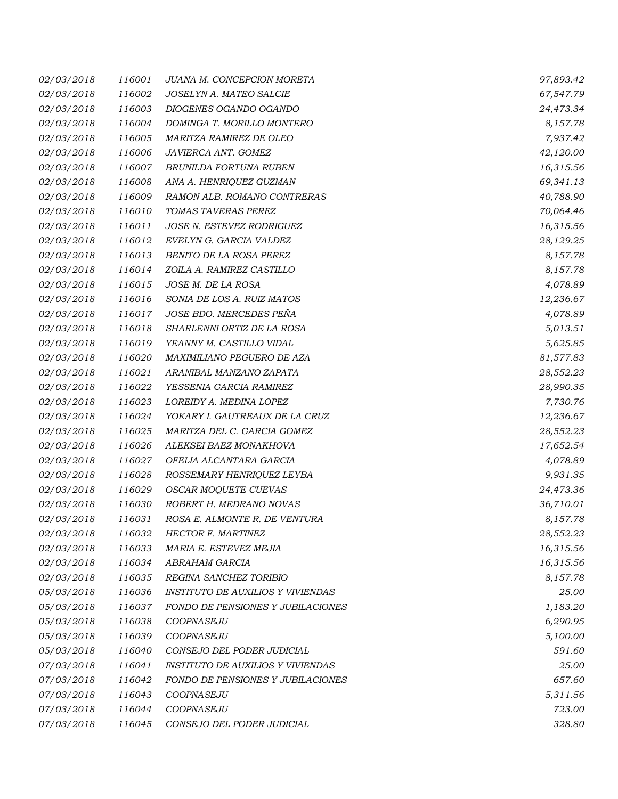| 02/03/2018 | 116001 | JUANA M. CONCEPCION MORETA               | 97,893.42 |
|------------|--------|------------------------------------------|-----------|
| 02/03/2018 | 116002 | JOSELYN A. MATEO SALCIE                  | 67,547.79 |
| 02/03/2018 | 116003 | DIOGENES OGANDO OGANDO                   | 24,473.34 |
| 02/03/2018 | 116004 | DOMINGA T. MORILLO MONTERO               | 8,157.78  |
| 02/03/2018 | 116005 | MARITZA RAMIREZ DE OLEO                  | 7,937.42  |
| 02/03/2018 | 116006 | JAVIERCA ANT. GOMEZ                      | 42,120.00 |
| 02/03/2018 | 116007 | BRUNILDA FORTUNA RUBEN                   | 16,315.56 |
| 02/03/2018 | 116008 | ANA A. HENRIQUEZ GUZMAN                  | 69,341.13 |
| 02/03/2018 | 116009 | RAMON ALB. ROMANO CONTRERAS              | 40,788.90 |
| 02/03/2018 | 116010 | TOMAS TAVERAS PEREZ                      | 70,064.46 |
| 02/03/2018 | 116011 | JOSE N. ESTEVEZ RODRIGUEZ                | 16,315.56 |
| 02/03/2018 | 116012 | EVELYN G. GARCIA VALDEZ                  | 28,129.25 |
| 02/03/2018 | 116013 | BENITO DE LA ROSA PEREZ                  | 8,157.78  |
| 02/03/2018 | 116014 | ZOILA A. RAMIREZ CASTILLO                | 8,157.78  |
| 02/03/2018 | 116015 | JOSE M. DE LA ROSA                       | 4,078.89  |
| 02/03/2018 | 116016 | SONIA DE LOS A. RUIZ MATOS               | 12,236.67 |
| 02/03/2018 | 116017 | JOSE BDO. MERCEDES PEÑA                  | 4,078.89  |
| 02/03/2018 | 116018 | SHARLENNI ORTIZ DE LA ROSA               | 5,013.51  |
| 02/03/2018 | 116019 | YEANNY M. CASTILLO VIDAL                 | 5,625.85  |
| 02/03/2018 | 116020 | MAXIMILIANO PEGUERO DE AZA               | 81,577.83 |
| 02/03/2018 | 116021 | ARANIBAL MANZANO ZAPATA                  | 28,552.23 |
| 02/03/2018 | 116022 | YESSENIA GARCIA RAMIREZ                  | 28,990.35 |
| 02/03/2018 | 116023 | LOREIDY A. MEDINA LOPEZ                  | 7,730.76  |
| 02/03/2018 | 116024 | YOKARY I. GAUTREAUX DE LA CRUZ           | 12,236.67 |
| 02/03/2018 | 116025 | MARITZA DEL C. GARCIA GOMEZ              | 28,552.23 |
| 02/03/2018 | 116026 | ALEKSEI BAEZ MONAKHOVA                   | 17,652.54 |
| 02/03/2018 | 116027 | OFELIA ALCANTARA GARCIA                  | 4,078.89  |
| 02/03/2018 | 116028 | ROSSEMARY HENRIQUEZ LEYBA                | 9,931.35  |
| 02/03/2018 | 116029 | OSCAR MOQUETE CUEVAS                     | 24,473.36 |
| 02/03/2018 | 116030 | ROBERT H. MEDRANO NOVAS                  | 36,710.01 |
| 02/03/2018 | 116031 | ROSA E. ALMONTE R. DE VENTURA            | 8,157.78  |
| 02/03/2018 | 116032 | <b>HECTOR F. MARTINEZ</b>                | 28,552.23 |
| 02/03/2018 | 116033 | MARIA E. ESTEVEZ MEJIA                   | 16,315.56 |
| 02/03/2018 | 116034 | ABRAHAM GARCIA                           | 16,315.56 |
| 02/03/2018 | 116035 | REGINA SANCHEZ TORIBIO                   | 8,157.78  |
| 05/03/2018 | 116036 | <b>INSTITUTO DE AUXILIOS Y VIVIENDAS</b> | 25.00     |
| 05/03/2018 | 116037 | <b>FONDO DE PENSIONES Y JUBILACIONES</b> | 1,183.20  |
| 05/03/2018 | 116038 | COOPNASEJU                               | 6,290.95  |
| 05/03/2018 | 116039 | COOPNASEJU                               | 5,100.00  |
| 05/03/2018 | 116040 | CONSEJO DEL PODER JUDICIAL               | 591.60    |
| 07/03/2018 | 116041 | <b>INSTITUTO DE AUXILIOS Y VIVIENDAS</b> | 25.00     |
| 07/03/2018 | 116042 | FONDO DE PENSIONES Y JUBILACIONES        | 657.60    |
| 07/03/2018 | 116043 | COOPNASEJU                               | 5,311.56  |
| 07/03/2018 | 116044 | COOPNASEJU                               | 723.00    |
| 07/03/2018 | 116045 | CONSEJO DEL PODER JUDICIAL               | 328.80    |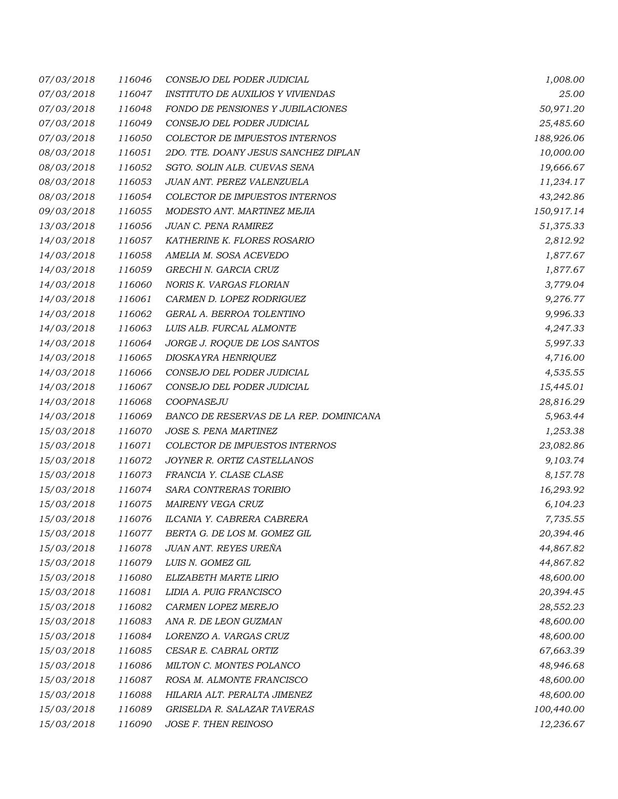| 07/03/2018 | 116046 | CONSEJO DEL PODER JUDICIAL               | 1,008.00   |
|------------|--------|------------------------------------------|------------|
| 07/03/2018 | 116047 | <b>INSTITUTO DE AUXILIOS Y VIVIENDAS</b> | 25.00      |
| 07/03/2018 | 116048 | FONDO DE PENSIONES Y JUBILACIONES        | 50,971.20  |
| 07/03/2018 | 116049 | CONSEJO DEL PODER JUDICIAL               | 25,485.60  |
| 07/03/2018 | 116050 | COLECTOR DE IMPUESTOS INTERNOS           | 188,926.06 |
| 08/03/2018 | 116051 | 2DO. TTE. DOANY JESUS SANCHEZ DIPLAN     | 10,000.00  |
| 08/03/2018 | 116052 | SGTO. SOLIN ALB. CUEVAS SENA             | 19,666.67  |
| 08/03/2018 | 116053 | JUAN ANT. PEREZ VALENZUELA               | 11,234.17  |
| 08/03/2018 | 116054 | COLECTOR DE IMPUESTOS INTERNOS           | 43,242.86  |
| 09/03/2018 | 116055 | MODESTO ANT. MARTINEZ MEJIA              | 150,917.14 |
| 13/03/2018 | 116056 | JUAN C. PENA RAMIREZ                     | 51,375.33  |
| 14/03/2018 | 116057 | KATHERINE K. FLORES ROSARIO              | 2,812.92   |
| 14/03/2018 | 116058 | AMELIA M. SOSA ACEVEDO                   | 1,877.67   |
| 14/03/2018 | 116059 | GRECHI N. GARCIA CRUZ                    | 1,877.67   |
| 14/03/2018 | 116060 | NORIS K. VARGAS FLORIAN                  | 3,779.04   |
| 14/03/2018 | 116061 | CARMEN D. LOPEZ RODRIGUEZ                | 9,276.77   |
| 14/03/2018 | 116062 | GERAL A. BERROA TOLENTINO                | 9,996.33   |
| 14/03/2018 | 116063 | LUIS ALB. FURCAL ALMONTE                 | 4,247.33   |
| 14/03/2018 | 116064 | JORGE J. ROQUE DE LOS SANTOS             | 5,997.33   |
| 14/03/2018 | 116065 | DIOSKAYRA HENRIQUEZ                      | 4,716.00   |
| 14/03/2018 | 116066 | CONSEJO DEL PODER JUDICIAL               | 4,535.55   |
| 14/03/2018 | 116067 | CONSEJO DEL PODER JUDICIAL               | 15,445.01  |
| 14/03/2018 | 116068 | COOPNASEJU                               | 28,816.29  |
| 14/03/2018 | 116069 | BANCO DE RESERVAS DE LA REP. DOMINICANA  | 5,963.44   |
| 15/03/2018 | 116070 | JOSE S. PENA MARTINEZ                    | 1,253.38   |
| 15/03/2018 | 116071 | COLECTOR DE IMPUESTOS INTERNOS           | 23,082.86  |
| 15/03/2018 | 116072 | JOYNER R. ORTIZ CASTELLANOS              | 9,103.74   |
| 15/03/2018 | 116073 | FRANCIA Y. CLASE CLASE                   | 8,157.78   |
| 15/03/2018 | 116074 | SARA CONTRERAS TORIBIO                   | 16,293.92  |
| 15/03/2018 | 116075 | MAIRENY VEGA CRUZ                        | 6,104.23   |
| 15/03/2018 | 116076 | ILCANIA Y. CABRERA CABRERA               | 7,735.55   |
| 15/03/2018 | 116077 | BERTA G. DE LOS M. GOMEZ GIL             | 20,394.46  |
| 15/03/2018 | 116078 | JUAN ANT. REYES UREÑA                    | 44,867.82  |
| 15/03/2018 | 116079 | LUIS N. GOMEZ GIL                        | 44,867.82  |
| 15/03/2018 | 116080 | ELIZABETH MARTE LIRIO                    | 48,600.00  |
| 15/03/2018 | 116081 | LIDIA A. PUIG FRANCISCO                  | 20,394.45  |
| 15/03/2018 | 116082 | CARMEN LOPEZ MEREJO                      | 28,552.23  |
| 15/03/2018 | 116083 | ANA R. DE LEON GUZMAN                    | 48,600.00  |
| 15/03/2018 | 116084 | LORENZO A. VARGAS CRUZ                   | 48,600.00  |
| 15/03/2018 | 116085 | CESAR E. CABRAL ORTIZ                    | 67,663.39  |
| 15/03/2018 | 116086 | MILTON C. MONTES POLANCO                 | 48,946.68  |
| 15/03/2018 | 116087 | ROSA M. ALMONTE FRANCISCO                | 48,600.00  |
| 15/03/2018 | 116088 | HILARIA ALT. PERALTA JIMENEZ             | 48,600.00  |
| 15/03/2018 | 116089 | GRISELDA R. SALAZAR TAVERAS              | 100,440.00 |
| 15/03/2018 | 116090 | JOSE F. THEN REINOSO                     | 12,236.67  |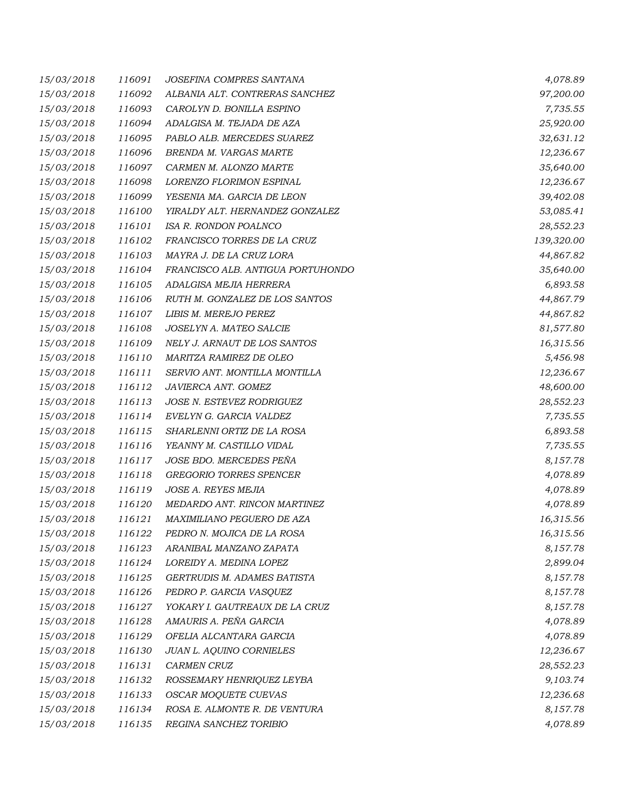| 15/03/2018 | 116091 | JOSEFINA COMPRES SANTANA          | 4,078.89   |
|------------|--------|-----------------------------------|------------|
| 15/03/2018 | 116092 | ALBANIA ALT. CONTRERAS SANCHEZ    | 97,200.00  |
| 15/03/2018 | 116093 | CAROLYN D. BONILLA ESPINO         | 7,735.55   |
| 15/03/2018 | 116094 | ADALGISA M. TEJADA DE AZA         | 25,920.00  |
| 15/03/2018 | 116095 | PABLO ALB. MERCEDES SUAREZ        | 32,631.12  |
| 15/03/2018 | 116096 | BRENDA M. VARGAS MARTE            | 12,236.67  |
| 15/03/2018 | 116097 | CARMEN M. ALONZO MARTE            | 35,640.00  |
| 15/03/2018 | 116098 | LORENZO FLORIMON ESPINAL          | 12,236.67  |
| 15/03/2018 | 116099 | YESENIA MA. GARCIA DE LEON        | 39,402.08  |
| 15/03/2018 | 116100 | YIRALDY ALT. HERNANDEZ GONZALEZ   | 53,085.41  |
| 15/03/2018 | 116101 | ISA R. RONDON POALNCO             | 28,552.23  |
| 15/03/2018 | 116102 | FRANCISCO TORRES DE LA CRUZ       | 139,320.00 |
| 15/03/2018 | 116103 | MAYRA J. DE LA CRUZ LORA          | 44,867.82  |
| 15/03/2018 | 116104 | FRANCISCO ALB. ANTIGUA PORTUHONDO | 35,640.00  |
| 15/03/2018 | 116105 | ADALGISA MEJIA HERRERA            | 6,893.58   |
| 15/03/2018 | 116106 | RUTH M. GONZALEZ DE LOS SANTOS    | 44,867.79  |
| 15/03/2018 | 116107 | LIBIS M. MEREJO PEREZ             | 44,867.82  |
| 15/03/2018 | 116108 | JOSELYN A. MATEO SALCIE           | 81,577.80  |
| 15/03/2018 | 116109 | NELY J. ARNAUT DE LOS SANTOS      | 16,315.56  |
| 15/03/2018 | 116110 | MARITZA RAMIREZ DE OLEO           | 5,456.98   |
| 15/03/2018 | 116111 | SERVIO ANT. MONTILLA MONTILLA     | 12,236.67  |
| 15/03/2018 | 116112 | JAVIERCA ANT. GOMEZ               | 48,600.00  |
| 15/03/2018 | 116113 | JOSE N. ESTEVEZ RODRIGUEZ         | 28,552.23  |
| 15/03/2018 | 116114 | EVELYN G. GARCIA VALDEZ           | 7,735.55   |
| 15/03/2018 | 116115 | SHARLENNI ORTIZ DE LA ROSA        | 6,893.58   |
| 15/03/2018 | 116116 | YEANNY M. CASTILLO VIDAL          | 7,735.55   |
| 15/03/2018 | 116117 | JOSE BDO. MERCEDES PEÑA           | 8,157.78   |
| 15/03/2018 | 116118 | <b>GREGORIO TORRES SPENCER</b>    | 4,078.89   |
| 15/03/2018 | 116119 | JOSE A. REYES MEJIA               | 4,078.89   |
| 15/03/2018 | 116120 | MEDARDO ANT. RINCON MARTINEZ      | 4,078.89   |
| 15/03/2018 | 116121 | MAXIMILIANO PEGUERO DE AZA        | 16,315.56  |
| 15/03/2018 | 116122 | PEDRO N. MOJICA DE LA ROSA        | 16,315.56  |
| 15/03/2018 | 116123 | ARANIBAL MANZANO ZAPATA           | 8,157.78   |
| 15/03/2018 | 116124 | LOREIDY A. MEDINA LOPEZ           | 2,899.04   |
| 15/03/2018 | 116125 | GERTRUDIS M. ADAMES BATISTA       | 8,157.78   |
| 15/03/2018 | 116126 | PEDRO P. GARCIA VASQUEZ           | 8,157.78   |
| 15/03/2018 | 116127 | YOKARY I. GAUTREAUX DE LA CRUZ    | 8,157.78   |
| 15/03/2018 | 116128 | AMAURIS A. PEÑA GARCIA            | 4,078.89   |
| 15/03/2018 | 116129 | OFELIA ALCANTARA GARCIA           | 4,078.89   |
| 15/03/2018 | 116130 | JUAN L. AQUINO CORNIELES          | 12,236.67  |
| 15/03/2018 | 116131 | <b>CARMEN CRUZ</b>                | 28,552.23  |
| 15/03/2018 | 116132 | ROSSEMARY HENRIQUEZ LEYBA         | 9,103.74   |
| 15/03/2018 | 116133 | OSCAR MOQUETE CUEVAS              | 12,236.68  |
| 15/03/2018 | 116134 | ROSA E. ALMONTE R. DE VENTURA     | 8,157.78   |
| 15/03/2018 | 116135 | REGINA SANCHEZ TORIBIO            | 4,078.89   |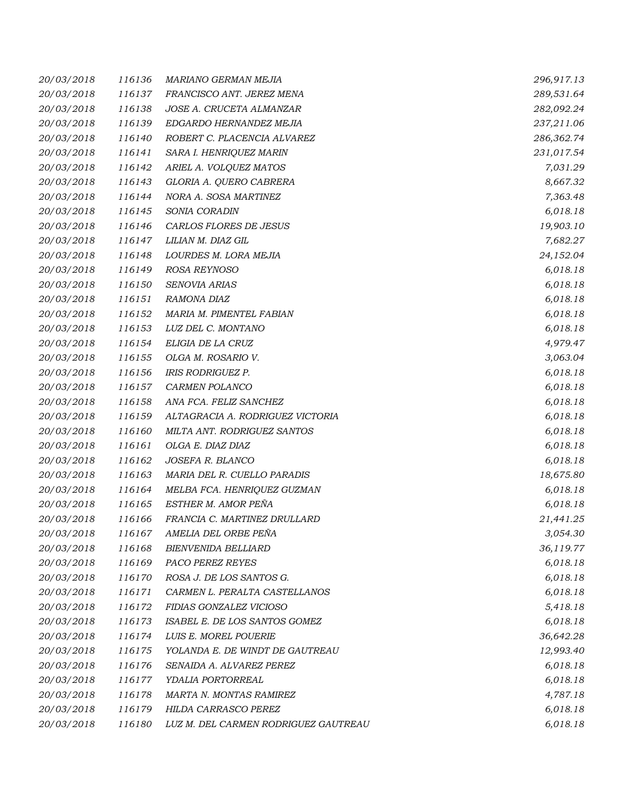| 20/03/2018 | 116136 | MARIANO GERMAN MEJIA                 | 296,917.13 |
|------------|--------|--------------------------------------|------------|
| 20/03/2018 | 116137 | FRANCISCO ANT. JEREZ MENA            | 289,531.64 |
| 20/03/2018 | 116138 | JOSE A. CRUCETA ALMANZAR             | 282,092.24 |
| 20/03/2018 | 116139 | EDGARDO HERNANDEZ MEJIA              | 237,211.06 |
| 20/03/2018 | 116140 | ROBERT C. PLACENCIA ALVAREZ          | 286,362.74 |
| 20/03/2018 | 116141 | SARA I. HENRIQUEZ MARIN              | 231,017.54 |
| 20/03/2018 | 116142 | ARIEL A. VOLQUEZ MATOS               | 7,031.29   |
| 20/03/2018 | 116143 | GLORIA A. QUERO CABRERA              | 8,667.32   |
| 20/03/2018 | 116144 | NORA A. SOSA MARTINEZ                | 7,363.48   |
| 20/03/2018 | 116145 | SONIA CORADIN                        | 6,018.18   |
| 20/03/2018 | 116146 | CARLOS FLORES DE JESUS               | 19,903.10  |
| 20/03/2018 | 116147 | LILIAN M. DIAZ GIL                   | 7,682.27   |
| 20/03/2018 | 116148 | LOURDES M. LORA MEJIA                | 24,152.04  |
| 20/03/2018 | 116149 | ROSA REYNOSO                         | 6,018.18   |
| 20/03/2018 | 116150 | SENOVIA ARIAS                        | 6,018.18   |
| 20/03/2018 | 116151 | RAMONA DIAZ                          | 6,018.18   |
| 20/03/2018 | 116152 | MARIA M. PIMENTEL FABIAN             | 6,018.18   |
| 20/03/2018 | 116153 | LUZ DEL C. MONTANO                   | 6,018.18   |
| 20/03/2018 | 116154 | ELIGIA DE LA CRUZ                    | 4,979.47   |
| 20/03/2018 | 116155 | OLGA M. ROSARIO V.                   | 3,063.04   |
| 20/03/2018 | 116156 | <b>IRIS RODRIGUEZ P.</b>             | 6,018.18   |
| 20/03/2018 | 116157 | CARMEN POLANCO                       | 6,018.18   |
| 20/03/2018 | 116158 | ANA FCA. FELIZ SANCHEZ               | 6,018.18   |
| 20/03/2018 | 116159 | ALTAGRACIA A. RODRIGUEZ VICTORIA     | 6,018.18   |
| 20/03/2018 | 116160 | MILTA ANT. RODRIGUEZ SANTOS          | 6,018.18   |
| 20/03/2018 | 116161 | OLGA E. DIAZ DIAZ                    | 6,018.18   |
| 20/03/2018 | 116162 | JOSEFA R. BLANCO                     | 6,018.18   |
| 20/03/2018 | 116163 | MARIA DEL R. CUELLO PARADIS          | 18,675.80  |
| 20/03/2018 | 116164 | MELBA FCA. HENRIQUEZ GUZMAN          | 6,018.18   |
| 20/03/2018 | 116165 | ESTHER M. AMOR PEÑA                  | 6,018.18   |
| 20/03/2018 | 116166 | FRANCIA C. MARTINEZ DRULLARD         | 21,441.25  |
| 20/03/2018 | 116167 | AMELIA DEL ORBE PEÑA                 | 3,054.30   |
| 20/03/2018 | 116168 | <b>BIENVENIDA BELLIARD</b>           | 36,119.77  |
| 20/03/2018 | 116169 | PACO PEREZ REYES                     | 6,018.18   |
| 20/03/2018 | 116170 | ROSA J. DE LOS SANTOS G.             | 6,018.18   |
| 20/03/2018 | 116171 | CARMEN L. PERALTA CASTELLANOS        | 6,018.18   |
| 20/03/2018 | 116172 | FIDIAS GONZALEZ VICIOSO              | 5,418.18   |
| 20/03/2018 | 116173 | ISABEL E. DE LOS SANTOS GOMEZ        | 6,018.18   |
| 20/03/2018 | 116174 | LUIS E. MOREL POUERIE                | 36,642.28  |
| 20/03/2018 | 116175 | YOLANDA E. DE WINDT DE GAUTREAU      | 12,993.40  |
| 20/03/2018 | 116176 | SENAIDA A. ALVAREZ PEREZ             | 6,018.18   |
| 20/03/2018 | 116177 | YDALIA PORTORREAL                    | 6,018.18   |
| 20/03/2018 | 116178 | MARTA N. MONTAS RAMIREZ              | 4,787.18   |
| 20/03/2018 | 116179 | HILDA CARRASCO PEREZ                 | 6,018.18   |
| 20/03/2018 | 116180 | LUZ M. DEL CARMEN RODRIGUEZ GAUTREAU | 6,018.18   |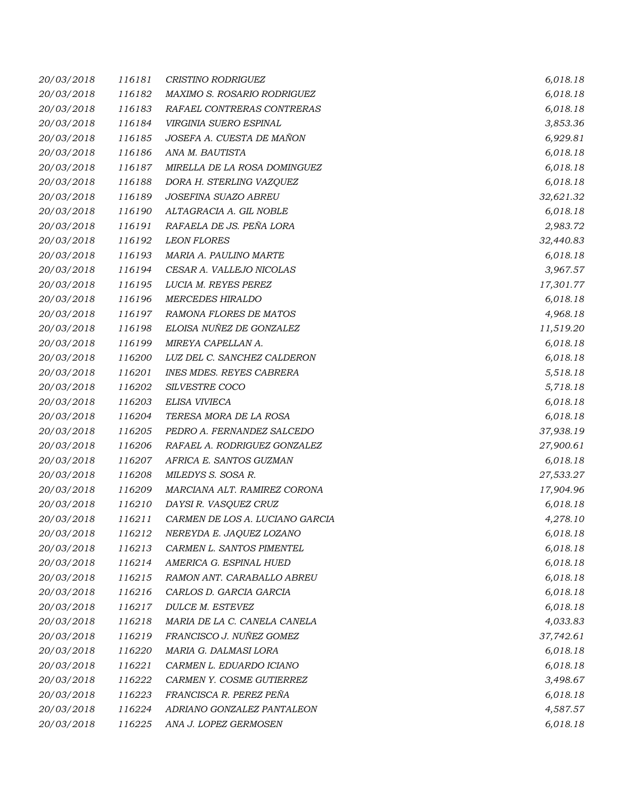| 20/03/2018 | 116181 | <b>CRISTINO RODRIGUEZ</b>       | 6,018.18  |
|------------|--------|---------------------------------|-----------|
| 20/03/2018 | 116182 | MAXIMO S. ROSARIO RODRIGUEZ     | 6,018.18  |
| 20/03/2018 | 116183 | RAFAEL CONTRERAS CONTRERAS      | 6,018.18  |
| 20/03/2018 | 116184 | VIRGINIA SUERO ESPINAL          | 3,853.36  |
| 20/03/2018 | 116185 | JOSEFA A. CUESTA DE MAÑON       | 6,929.81  |
| 20/03/2018 | 116186 | ANA M. BAUTISTA                 | 6,018.18  |
| 20/03/2018 | 116187 | MIRELLA DE LA ROSA DOMINGUEZ    | 6,018.18  |
| 20/03/2018 | 116188 | DORA H. STERLING VAZQUEZ        | 6,018.18  |
| 20/03/2018 | 116189 | JOSEFINA SUAZO ABREU            | 32,621.32 |
| 20/03/2018 | 116190 | ALTAGRACIA A. GIL NOBLE         | 6,018.18  |
| 20/03/2018 | 116191 | RAFAELA DE JS. PEÑA LORA        | 2,983.72  |
| 20/03/2018 | 116192 | <b>LEON FLORES</b>              | 32,440.83 |
| 20/03/2018 | 116193 | MARIA A. PAULINO MARTE          | 6,018.18  |
| 20/03/2018 | 116194 | CESAR A. VALLEJO NICOLAS        | 3,967.57  |
| 20/03/2018 | 116195 | LUCIA M. REYES PEREZ            | 17,301.77 |
| 20/03/2018 | 116196 | <b>MERCEDES HIRALDO</b>         | 6,018.18  |
| 20/03/2018 | 116197 | RAMONA FLORES DE MATOS          | 4,968.18  |
| 20/03/2018 | 116198 | ELOISA NUÑEZ DE GONZALEZ        | 11,519.20 |
| 20/03/2018 | 116199 | MIREYA CAPELLAN A.              | 6,018.18  |
| 20/03/2018 | 116200 | LUZ DEL C. SANCHEZ CALDERON     | 6,018.18  |
| 20/03/2018 | 116201 | <b>INES MDES. REYES CABRERA</b> | 5,518.18  |
| 20/03/2018 | 116202 | SILVESTRE COCO                  | 5,718.18  |
| 20/03/2018 | 116203 | ELISA VIVIECA                   | 6,018.18  |
| 20/03/2018 | 116204 | TERESA MORA DE LA ROSA          | 6,018.18  |
| 20/03/2018 | 116205 | PEDRO A. FERNANDEZ SALCEDO      | 37,938.19 |
| 20/03/2018 | 116206 | RAFAEL A. RODRIGUEZ GONZALEZ    | 27,900.61 |
| 20/03/2018 | 116207 | AFRICA E. SANTOS GUZMAN         | 6,018.18  |
| 20/03/2018 | 116208 | MILEDYS S. SOSA R.              | 27,533.27 |
| 20/03/2018 | 116209 | MARCIANA ALT. RAMIREZ CORONA    | 17,904.96 |
| 20/03/2018 | 116210 | DAYSI R. VASQUEZ CRUZ           | 6,018.18  |
| 20/03/2018 | 116211 | CARMEN DE LOS A. LUCIANO GARCIA | 4,278.10  |
| 20/03/2018 | 116212 | NEREYDA E. JAQUEZ LOZANO        | 6,018.18  |
| 20/03/2018 | 116213 | CARMEN L. SANTOS PIMENTEL       | 6,018.18  |
| 20/03/2018 | 116214 | AMERICA G. ESPINAL HUED         | 6,018.18  |
| 20/03/2018 | 116215 | RAMON ANT. CARABALLO ABREU      | 6,018.18  |
| 20/03/2018 | 116216 | CARLOS D. GARCIA GARCIA         | 6,018.18  |
| 20/03/2018 | 116217 | <b>DULCE M. ESTEVEZ</b>         | 6,018.18  |
| 20/03/2018 | 116218 | MARIA DE LA C. CANELA CANELA    | 4,033.83  |
| 20/03/2018 | 116219 | FRANCISCO J. NUÑEZ GOMEZ        | 37,742.61 |
| 20/03/2018 | 116220 | MARIA G. DALMASI LORA           | 6,018.18  |
| 20/03/2018 | 116221 | CARMEN L. EDUARDO ICIANO        | 6,018.18  |
| 20/03/2018 | 116222 | CARMEN Y. COSME GUTIERREZ       | 3,498.67  |
| 20/03/2018 | 116223 | FRANCISCA R. PEREZ PEÑA         | 6,018.18  |
| 20/03/2018 | 116224 | ADRIANO GONZALEZ PANTALEON      | 4,587.57  |
| 20/03/2018 | 116225 | ANA J. LOPEZ GERMOSEN           | 6,018.18  |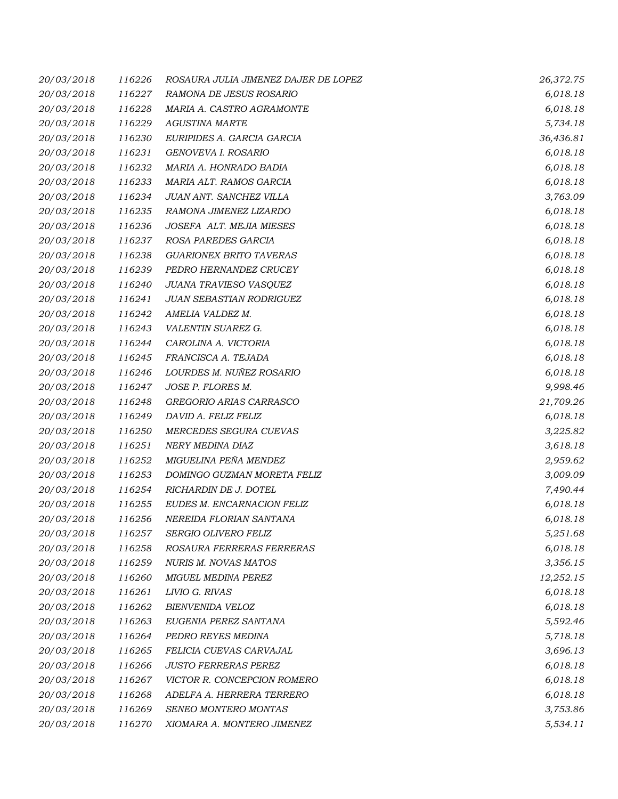| 20/03/2018 | 116226 | ROSAURA JULIA JIMENEZ DAJER DE LOPEZ | 26,372.75 |
|------------|--------|--------------------------------------|-----------|
| 20/03/2018 | 116227 | RAMONA DE JESUS ROSARIO              | 6,018.18  |
| 20/03/2018 | 116228 | MARIA A. CASTRO AGRAMONTE            | 6,018.18  |
| 20/03/2018 | 116229 | <b>AGUSTINA MARTE</b>                | 5,734.18  |
| 20/03/2018 | 116230 | EURIPIDES A. GARCIA GARCIA           | 36,436.81 |
| 20/03/2018 | 116231 | GENOVEVA I. ROSARIO                  | 6,018.18  |
| 20/03/2018 | 116232 | MARIA A. HONRADO BADIA               | 6,018.18  |
| 20/03/2018 | 116233 | MARIA ALT. RAMOS GARCIA              | 6,018.18  |
| 20/03/2018 | 116234 | JUAN ANT. SANCHEZ VILLA              | 3,763.09  |
| 20/03/2018 | 116235 | RAMONA JIMENEZ LIZARDO               | 6,018.18  |
| 20/03/2018 | 116236 | JOSEFA ALT. MEJIA MIESES             | 6,018.18  |
| 20/03/2018 | 116237 | ROSA PAREDES GARCIA                  | 6,018.18  |
| 20/03/2018 | 116238 | <b>GUARIONEX BRITO TAVERAS</b>       | 6,018.18  |
| 20/03/2018 | 116239 | PEDRO HERNANDEZ CRUCEY               | 6,018.18  |
| 20/03/2018 | 116240 | JUANA TRAVIESO VASQUEZ               | 6,018.18  |
| 20/03/2018 | 116241 | JUAN SEBASTIAN RODRIGUEZ             | 6,018.18  |
| 20/03/2018 | 116242 | AMELIA VALDEZ M.                     | 6,018.18  |
| 20/03/2018 | 116243 | VALENTIN SUAREZ G.                   | 6,018.18  |
| 20/03/2018 | 116244 | CAROLINA A. VICTORIA                 | 6,018.18  |
| 20/03/2018 | 116245 | FRANCISCA A. TEJADA                  | 6,018.18  |
| 20/03/2018 | 116246 | LOURDES M. NUÑEZ ROSARIO             | 6,018.18  |
| 20/03/2018 | 116247 | JOSE P. FLORES M.                    | 9,998.46  |
| 20/03/2018 | 116248 | GREGORIO ARIAS CARRASCO              | 21,709.26 |
| 20/03/2018 | 116249 | DAVID A. FELIZ FELIZ                 | 6,018.18  |
| 20/03/2018 | 116250 | MERCEDES SEGURA CUEVAS               | 3,225.82  |
| 20/03/2018 | 116251 | NERY MEDINA DIAZ                     | 3,618.18  |
| 20/03/2018 | 116252 | MIGUELINA PEÑA MENDEZ                | 2,959.62  |
| 20/03/2018 | 116253 | DOMINGO GUZMAN MORETA FELIZ          | 3,009.09  |
| 20/03/2018 | 116254 | RICHARDIN DE J. DOTEL                | 7,490.44  |
| 20/03/2018 | 116255 | EUDES M. ENCARNACION FELIZ           | 6,018.18  |
| 20/03/2018 | 116256 | NEREIDA FLORIAN SANTANA              | 6,018.18  |
| 20/03/2018 | 116257 | SERGIO OLIVERO FELIZ                 | 5,251.68  |
| 20/03/2018 | 116258 | ROSAURA FERRERAS FERRERAS            | 6,018.18  |
| 20/03/2018 | 116259 | NURIS M. NOVAS MATOS                 | 3,356.15  |
| 20/03/2018 | 116260 | MIGUEL MEDINA PEREZ                  | 12,252.15 |
| 20/03/2018 | 116261 | LIVIO G. RIVAS                       | 6,018.18  |
| 20/03/2018 | 116262 | BIENVENIDA VELOZ                     | 6,018.18  |
| 20/03/2018 | 116263 | EUGENIA PEREZ SANTANA                | 5,592.46  |
| 20/03/2018 | 116264 | PEDRO REYES MEDINA                   | 5,718.18  |
| 20/03/2018 | 116265 | FELICIA CUEVAS CARVAJAL              | 3,696.13  |
| 20/03/2018 | 116266 | <b>JUSTO FERRERAS PEREZ</b>          | 6,018.18  |
| 20/03/2018 | 116267 | VICTOR R. CONCEPCION ROMERO          | 6,018.18  |
| 20/03/2018 | 116268 | ADELFA A. HERRERA TERRERO            | 6,018.18  |
| 20/03/2018 | 116269 | SENEO MONTERO MONTAS                 | 3,753.86  |
| 20/03/2018 | 116270 | XIOMARA A. MONTERO JIMENEZ           | 5,534.11  |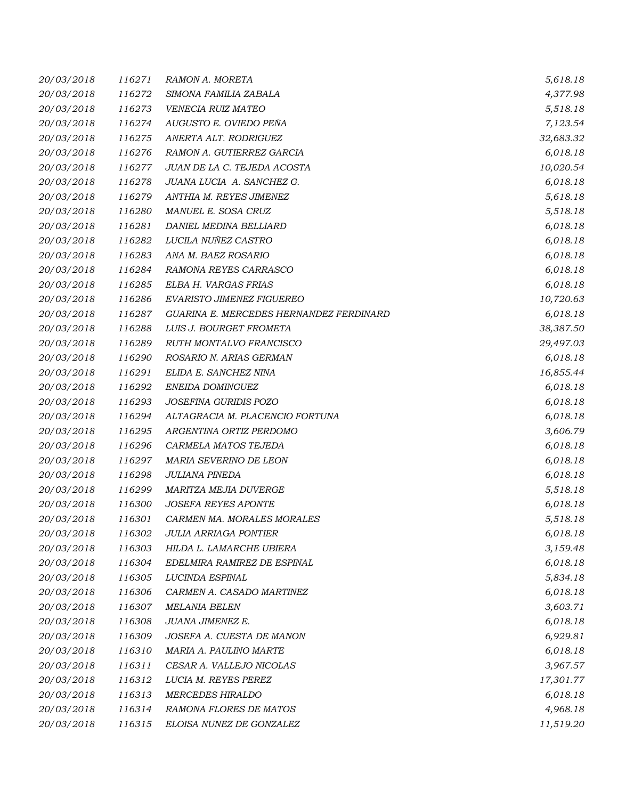| 20/03/2018 | 116271 | RAMON A. MORETA                         | 5,618.18  |
|------------|--------|-----------------------------------------|-----------|
| 20/03/2018 | 116272 | SIMONA FAMILIA ZABALA                   | 4,377.98  |
| 20/03/2018 | 116273 | VENECIA RUIZ MATEO                      | 5,518.18  |
| 20/03/2018 | 116274 | AUGUSTO E. OVIEDO PEÑA                  | 7,123.54  |
| 20/03/2018 | 116275 | ANERTA ALT. RODRIGUEZ                   | 32,683.32 |
| 20/03/2018 | 116276 | RAMON A. GUTIERREZ GARCIA               | 6,018.18  |
| 20/03/2018 | 116277 | JUAN DE LA C. TEJEDA ACOSTA             | 10,020.54 |
| 20/03/2018 | 116278 | JUANA LUCIA A. SANCHEZ G.               | 6,018.18  |
| 20/03/2018 | 116279 | ANTHIA M. REYES JIMENEZ                 | 5,618.18  |
| 20/03/2018 | 116280 | MANUEL E. SOSA CRUZ                     | 5,518.18  |
| 20/03/2018 | 116281 | DANIEL MEDINA BELLIARD                  | 6,018.18  |
| 20/03/2018 | 116282 | LUCILA NUÑEZ CASTRO                     | 6,018.18  |
| 20/03/2018 | 116283 | ANA M. BAEZ ROSARIO                     | 6,018.18  |
| 20/03/2018 | 116284 | RAMONA REYES CARRASCO                   | 6,018.18  |
| 20/03/2018 | 116285 | ELBA H. VARGAS FRIAS                    | 6,018.18  |
| 20/03/2018 | 116286 | EVARISTO JIMENEZ FIGUEREO               | 10,720.63 |
| 20/03/2018 | 116287 | GUARINA E. MERCEDES HERNANDEZ FERDINARD | 6,018.18  |
| 20/03/2018 | 116288 | LUIS J. BOURGET FROMETA                 | 38,387.50 |
| 20/03/2018 | 116289 | RUTH MONTALVO FRANCISCO                 | 29,497.03 |
| 20/03/2018 | 116290 | ROSARIO N. ARIAS GERMAN                 | 6,018.18  |
| 20/03/2018 | 116291 | ELIDA E. SANCHEZ NINA                   | 16,855.44 |
| 20/03/2018 | 116292 | ENEIDA DOMINGUEZ                        | 6,018.18  |
| 20/03/2018 | 116293 | JOSEFINA GURIDIS POZO                   | 6,018.18  |
| 20/03/2018 | 116294 | ALTAGRACIA M. PLACENCIO FORTUNA         | 6,018.18  |
| 20/03/2018 | 116295 | ARGENTINA ORTIZ PERDOMO                 | 3,606.79  |
| 20/03/2018 | 116296 | CARMELA MATOS TEJEDA                    | 6,018.18  |
| 20/03/2018 | 116297 | MARIA SEVERINO DE LEON                  | 6,018.18  |
| 20/03/2018 | 116298 | JULIANA PINEDA                          | 6,018.18  |
| 20/03/2018 | 116299 | MARITZA MEJIA DUVERGE                   | 5,518.18  |
| 20/03/2018 | 116300 | <b>JOSEFA REYES APONTE</b>              | 6,018.18  |
| 20/03/2018 | 116301 | CARMEN MA. MORALES MORALES              | 5,518.18  |
| 20/03/2018 | 116302 | JULIA ARRIAGA PONTIER                   | 6,018.18  |
| 20/03/2018 | 116303 | HILDA L. LAMARCHE UBIERA                | 3,159.48  |
| 20/03/2018 | 116304 | EDELMIRA RAMIREZ DE ESPINAL             | 6,018.18  |
| 20/03/2018 | 116305 | LUCINDA ESPINAL                         | 5,834.18  |
| 20/03/2018 | 116306 | CARMEN A. CASADO MARTINEZ               | 6,018.18  |
| 20/03/2018 | 116307 | <b>MELANIA BELEN</b>                    | 3,603.71  |
| 20/03/2018 | 116308 | JUANA JIMENEZ E.                        | 6,018.18  |
| 20/03/2018 | 116309 | JOSEFA A. CUESTA DE MANON               | 6,929.81  |
| 20/03/2018 | 116310 | MARIA A. PAULINO MARTE                  | 6,018.18  |
| 20/03/2018 | 116311 | CESAR A. VALLEJO NICOLAS                | 3,967.57  |
| 20/03/2018 | 116312 | LUCIA M. REYES PEREZ                    | 17,301.77 |
| 20/03/2018 | 116313 | <b>MERCEDES HIRALDO</b>                 | 6,018.18  |
| 20/03/2018 | 116314 | RAMONA FLORES DE MATOS                  | 4,968.18  |
| 20/03/2018 | 116315 | ELOISA NUNEZ DE GONZALEZ                | 11,519.20 |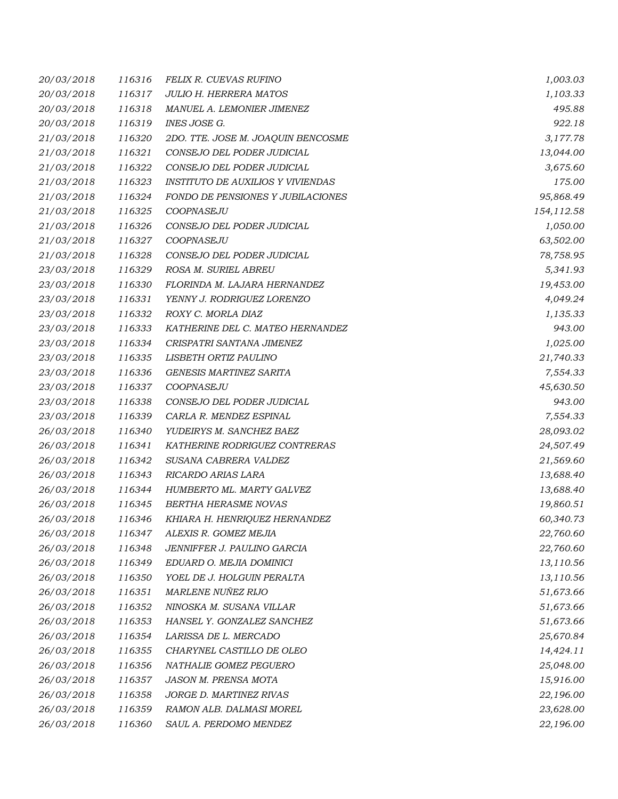| 20/03/2018 | 116316 | <b>FELIX R. CUEVAS RUFINO</b>            | 1,003.03   |
|------------|--------|------------------------------------------|------------|
| 20/03/2018 | 116317 | <b>JULIO H. HERRERA MATOS</b>            | 1,103.33   |
| 20/03/2018 | 116318 | MANUEL A. LEMONIER JIMENEZ               | 495.88     |
| 20/03/2018 | 116319 | <b>INES JOSE G.</b>                      | 922.18     |
| 21/03/2018 | 116320 | 2DO. TTE. JOSE M. JOAQUIN BENCOSME       | 3,177.78   |
| 21/03/2018 | 116321 | CONSEJO DEL PODER JUDICIAL               | 13,044.00  |
| 21/03/2018 | 116322 | CONSEJO DEL PODER JUDICIAL               | 3,675.60   |
| 21/03/2018 | 116323 | <b>INSTITUTO DE AUXILIOS Y VIVIENDAS</b> | 175.00     |
| 21/03/2018 | 116324 | FONDO DE PENSIONES Y JUBILACIONES        | 95,868.49  |
| 21/03/2018 | 116325 | COOPNASEJU                               | 154,112.58 |
| 21/03/2018 | 116326 | CONSEJO DEL PODER JUDICIAL               | 1,050.00   |
| 21/03/2018 | 116327 | COOPNASEJU                               | 63,502.00  |
| 21/03/2018 | 116328 | CONSEJO DEL PODER JUDICIAL               | 78,758.95  |
| 23/03/2018 | 116329 | ROSA M. SURIEL ABREU                     | 5,341.93   |
| 23/03/2018 | 116330 | FLORINDA M. LAJARA HERNANDEZ             | 19,453.00  |
| 23/03/2018 | 116331 | YENNY J. RODRIGUEZ LORENZO               | 4,049.24   |
| 23/03/2018 | 116332 | ROXY C. MORLA DIAZ                       | 1,135.33   |
| 23/03/2018 | 116333 | KATHERINE DEL C. MATEO HERNANDEZ         | 943.00     |
| 23/03/2018 | 116334 | CRISPATRI SANTANA JIMENEZ                | 1,025.00   |
| 23/03/2018 | 116335 | LISBETH ORTIZ PAULINO                    | 21,740.33  |
| 23/03/2018 | 116336 | <b>GENESIS MARTINEZ SARITA</b>           | 7,554.33   |
| 23/03/2018 | 116337 | COOPNASEJU                               | 45,630.50  |
| 23/03/2018 | 116338 | CONSEJO DEL PODER JUDICIAL               | 943.00     |
| 23/03/2018 | 116339 | CARLA R. MENDEZ ESPINAL                  | 7,554.33   |
| 26/03/2018 | 116340 | YUDEIRYS M. SANCHEZ BAEZ                 | 28,093.02  |
| 26/03/2018 | 116341 | KATHERINE RODRIGUEZ CONTRERAS            | 24,507.49  |
| 26/03/2018 | 116342 | SUSANA CABRERA VALDEZ                    | 21,569.60  |
| 26/03/2018 | 116343 | RICARDO ARIAS LARA                       | 13,688.40  |
| 26/03/2018 | 116344 | HUMBERTO ML. MARTY GALVEZ                | 13,688.40  |
| 26/03/2018 | 116345 | BERTHA HERASME NOVAS                     | 19,860.51  |
| 26/03/2018 | 116346 | KHIARA H. HENRIQUEZ HERNANDEZ            | 60,340.73  |
| 26/03/2018 | 116347 | ALEXIS R. GOMEZ MEJIA                    | 22,760.60  |
| 26/03/2018 | 116348 | JENNIFFER J. PAULINO GARCIA              | 22,760.60  |
| 26/03/2018 | 116349 | EDUARD O. MEJIA DOMINICI                 | 13,110.56  |
| 26/03/2018 | 116350 | YOEL DE J. HOLGUIN PERALTA               | 13,110.56  |
| 26/03/2018 | 116351 | <b>MARLENE NUÑEZ RIJO</b>                | 51,673.66  |
| 26/03/2018 | 116352 | NINOSKA M. SUSANA VILLAR                 | 51,673.66  |
| 26/03/2018 | 116353 | HANSEL Y. GONZALEZ SANCHEZ               | 51,673.66  |
| 26/03/2018 | 116354 | LARISSA DE L. MERCADO                    | 25,670.84  |
| 26/03/2018 | 116355 | CHARYNEL CASTILLO DE OLEO                | 14,424.11  |
| 26/03/2018 | 116356 | NATHALIE GOMEZ PEGUERO                   | 25,048.00  |
| 26/03/2018 | 116357 | JASON M. PRENSA MOTA                     | 15,916.00  |
| 26/03/2018 | 116358 | JORGE D. MARTINEZ RIVAS                  | 22,196.00  |
| 26/03/2018 | 116359 | RAMON ALB. DALMASI MOREL                 | 23,628.00  |
| 26/03/2018 | 116360 | SAUL A. PERDOMO MENDEZ                   | 22,196.00  |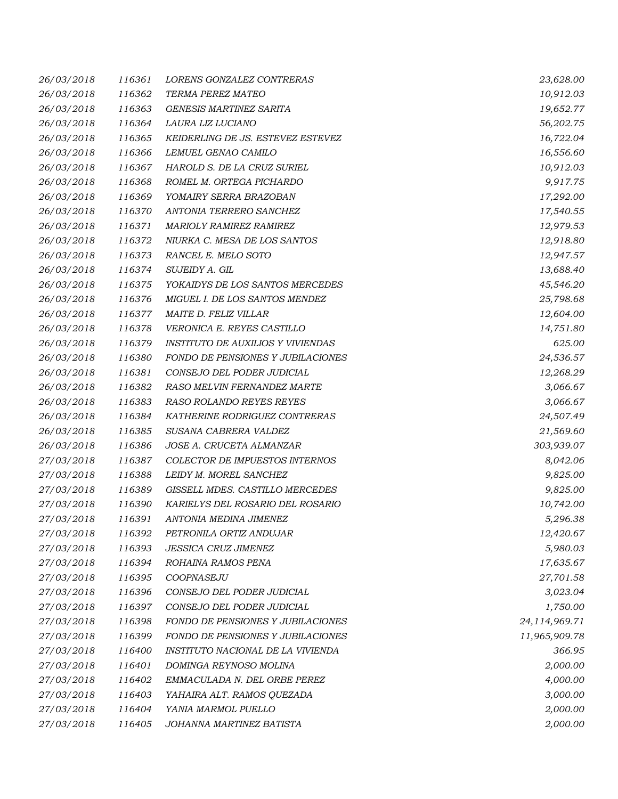| 26/03/2018 | 116361 | LORENS GONZALEZ CONTRERAS                | 23,628.00     |
|------------|--------|------------------------------------------|---------------|
| 26/03/2018 | 116362 | TERMA PEREZ MATEO                        | 10,912.03     |
| 26/03/2018 | 116363 | <b>GENESIS MARTINEZ SARITA</b>           | 19,652.77     |
| 26/03/2018 | 116364 | LAURA LIZ LUCIANO                        | 56,202.75     |
| 26/03/2018 | 116365 | KEIDERLING DE JS. ESTEVEZ ESTEVEZ        | 16,722.04     |
| 26/03/2018 | 116366 | LEMUEL GENAO CAMILO                      | 16,556.60     |
| 26/03/2018 | 116367 | HAROLD S. DE LA CRUZ SURIEL              | 10,912.03     |
| 26/03/2018 | 116368 | ROMEL M. ORTEGA PICHARDO                 | 9,917.75      |
| 26/03/2018 | 116369 | YOMAIRY SERRA BRAZOBAN                   | 17,292.00     |
| 26/03/2018 | 116370 | ANTONIA TERRERO SANCHEZ                  | 17,540.55     |
| 26/03/2018 | 116371 | <b>MARIOLY RAMIREZ RAMIREZ</b>           | 12,979.53     |
| 26/03/2018 | 116372 | NIURKA C. MESA DE LOS SANTOS             | 12,918.80     |
| 26/03/2018 | 116373 | RANCEL E. MELO SOTO                      | 12,947.57     |
| 26/03/2018 | 116374 | SUJEIDY A. GIL                           | 13,688.40     |
| 26/03/2018 | 116375 | YOKAIDYS DE LOS SANTOS MERCEDES          | 45,546.20     |
| 26/03/2018 | 116376 | MIGUEL I. DE LOS SANTOS MENDEZ           | 25,798.68     |
| 26/03/2018 | 116377 | MAITE D. FELIZ VILLAR                    | 12,604.00     |
| 26/03/2018 | 116378 | VERONICA E. REYES CASTILLO               | 14,751.80     |
| 26/03/2018 | 116379 | <b>INSTITUTO DE AUXILIOS Y VIVIENDAS</b> | 625.00        |
| 26/03/2018 | 116380 | FONDO DE PENSIONES Y JUBILACIONES        | 24,536.57     |
| 26/03/2018 | 116381 | CONSEJO DEL PODER JUDICIAL               | 12,268.29     |
| 26/03/2018 | 116382 | RASO MELVIN FERNANDEZ MARTE              | 3,066.67      |
| 26/03/2018 | 116383 | RASO ROLANDO REYES REYES                 | 3,066.67      |
| 26/03/2018 | 116384 | KATHERINE RODRIGUEZ CONTRERAS            | 24,507.49     |
| 26/03/2018 | 116385 | SUSANA CABRERA VALDEZ                    | 21,569.60     |
| 26/03/2018 | 116386 | JOSE A. CRUCETA ALMANZAR                 | 303,939.07    |
| 27/03/2018 | 116387 | COLECTOR DE IMPUESTOS INTERNOS           | 8,042.06      |
| 27/03/2018 | 116388 | LEIDY M. MOREL SANCHEZ                   | 9,825.00      |
| 27/03/2018 | 116389 | GISSELL MDES. CASTILLO MERCEDES          | 9,825.00      |
| 27/03/2018 | 116390 | KARIELYS DEL ROSARIO DEL ROSARIO         | 10,742.00     |
| 27/03/2018 | 116391 | ANTONIA MEDINA JIMENEZ                   | 5,296.38      |
| 27/03/2018 | 116392 | PETRONILA ORTIZ ANDUJAR                  | 12,420.67     |
| 27/03/2018 | 116393 | <b>JESSICA CRUZ JIMENEZ</b>              | 5,980.03      |
| 27/03/2018 | 116394 | ROHAINA RAMOS PENA                       | 17,635.67     |
| 27/03/2018 | 116395 | COOPNASEJU                               | 27,701.58     |
| 27/03/2018 | 116396 | CONSEJO DEL PODER JUDICIAL               | 3,023.04      |
| 27/03/2018 | 116397 | CONSEJO DEL PODER JUDICIAL               | 1,750.00      |
| 27/03/2018 | 116398 | FONDO DE PENSIONES Y JUBILACIONES        | 24,114,969.71 |
| 27/03/2018 | 116399 | FONDO DE PENSIONES Y JUBILACIONES        | 11,965,909.78 |
| 27/03/2018 | 116400 | INSTITUTO NACIONAL DE LA VIVIENDA        | 366.95        |
| 27/03/2018 | 116401 | DOMINGA REYNOSO MOLINA                   | 2,000.00      |
| 27/03/2018 | 116402 | EMMACULADA N. DEL ORBE PEREZ             | 4,000.00      |
| 27/03/2018 | 116403 | YAHAIRA ALT. RAMOS QUEZADA               | 3,000.00      |
| 27/03/2018 | 116404 | YANIA MARMOL PUELLO                      | 2,000.00      |
| 27/03/2018 | 116405 | JOHANNA MARTINEZ BATISTA                 | 2,000.00      |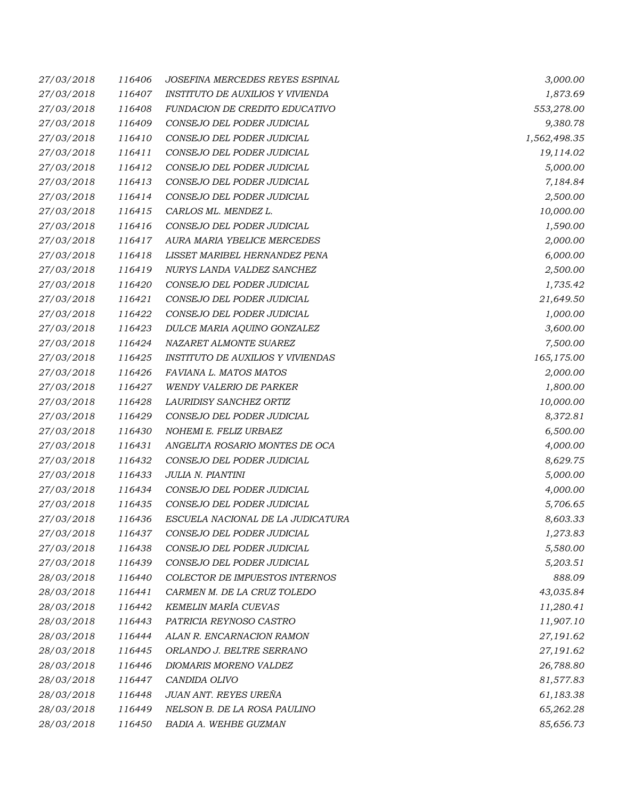| 27/03/2018 | 116406 | JOSEFINA MERCEDES REYES ESPINAL          | 3,000.00     |
|------------|--------|------------------------------------------|--------------|
| 27/03/2018 | 116407 | INSTITUTO DE AUXILIOS Y VIVIENDA         | 1,873.69     |
| 27/03/2018 | 116408 | FUNDACION DE CREDITO EDUCATIVO           | 553,278.00   |
| 27/03/2018 | 116409 | CONSEJO DEL PODER JUDICIAL               | 9,380.78     |
| 27/03/2018 | 116410 | CONSEJO DEL PODER JUDICIAL               | 1,562,498.35 |
| 27/03/2018 | 116411 | CONSEJO DEL PODER JUDICIAL               | 19,114.02    |
| 27/03/2018 | 116412 | CONSEJO DEL PODER JUDICIAL               | 5,000.00     |
| 27/03/2018 | 116413 | CONSEJO DEL PODER JUDICIAL               | 7,184.84     |
| 27/03/2018 | 116414 | CONSEJO DEL PODER JUDICIAL               | 2,500.00     |
| 27/03/2018 | 116415 | CARLOS ML. MENDEZ L.                     | 10,000.00    |
| 27/03/2018 | 116416 | CONSEJO DEL PODER JUDICIAL               | 1,590.00     |
| 27/03/2018 | 116417 | AURA MARIA YBELICE MERCEDES              | 2,000.00     |
| 27/03/2018 | 116418 | LISSET MARIBEL HERNANDEZ PENA            | 6,000.00     |
| 27/03/2018 | 116419 | NURYS LANDA VALDEZ SANCHEZ               | 2,500.00     |
| 27/03/2018 | 116420 | CONSEJO DEL PODER JUDICIAL               | 1,735.42     |
| 27/03/2018 | 116421 | CONSEJO DEL PODER JUDICIAL               | 21,649.50    |
| 27/03/2018 | 116422 | CONSEJO DEL PODER JUDICIAL               | 1,000.00     |
| 27/03/2018 | 116423 | DULCE MARIA AQUINO GONZALEZ              | 3,600.00     |
| 27/03/2018 | 116424 | NAZARET ALMONTE SUAREZ                   | 7,500.00     |
| 27/03/2018 | 116425 | <b>INSTITUTO DE AUXILIOS Y VIVIENDAS</b> | 165,175.00   |
| 27/03/2018 | 116426 | FAVIANA L. MATOS MATOS                   | 2,000.00     |
| 27/03/2018 | 116427 | <b>WENDY VALERIO DE PARKER</b>           | 1,800.00     |
| 27/03/2018 | 116428 | LAURIDISY SANCHEZ ORTIZ                  | 10,000.00    |
| 27/03/2018 | 116429 | CONSEJO DEL PODER JUDICIAL               | 8,372.81     |
| 27/03/2018 | 116430 | NOHEMI E. FELIZ URBAEZ                   | 6,500.00     |
| 27/03/2018 | 116431 | ANGELITA ROSARIO MONTES DE OCA           | 4,000.00     |
| 27/03/2018 | 116432 | CONSEJO DEL PODER JUDICIAL               | 8,629.75     |
| 27/03/2018 | 116433 | JULIA N. PIANTINI                        | 5,000.00     |
| 27/03/2018 | 116434 | CONSEJO DEL PODER JUDICIAL               | 4,000.00     |
| 27/03/2018 | 116435 | CONSEJO DEL PODER JUDICIAL               | 5,706.65     |
| 27/03/2018 | 116436 | ESCUELA NACIONAL DE LA JUDICATURA        | 8,603.33     |
| 27/03/2018 | 116437 | CONSEJO DEL PODER JUDICIAL               | 1,273.83     |
| 27/03/2018 | 116438 | CONSEJO DEL PODER JUDICIAL               | 5,580.00     |
| 27/03/2018 | 116439 | CONSEJO DEL PODER JUDICIAL               | 5,203.51     |
| 28/03/2018 | 116440 | COLECTOR DE IMPUESTOS INTERNOS           | 888.09       |
| 28/03/2018 | 116441 | CARMEN M. DE LA CRUZ TOLEDO              | 43,035.84    |
| 28/03/2018 | 116442 | KEMELIN MARÍA CUEVAS                     | 11,280.41    |
| 28/03/2018 | 116443 | PATRICIA REYNOSO CASTRO                  | 11,907.10    |
| 28/03/2018 | 116444 | ALAN R. ENCARNACION RAMON                | 27,191.62    |
| 28/03/2018 | 116445 | ORLANDO J. BELTRE SERRANO                | 27,191.62    |
| 28/03/2018 | 116446 | DIOMARIS MORENO VALDEZ                   | 26,788.80    |
| 28/03/2018 | 116447 | CANDIDA OLIVO                            | 81,577.83    |
| 28/03/2018 | 116448 | JUAN ANT. REYES UREÑA                    | 61,183.38    |
| 28/03/2018 | 116449 | NELSON B. DE LA ROSA PAULINO             | 65,262.28    |
| 28/03/2018 | 116450 | BADIA A. WEHBE GUZMAN                    | 85,656.73    |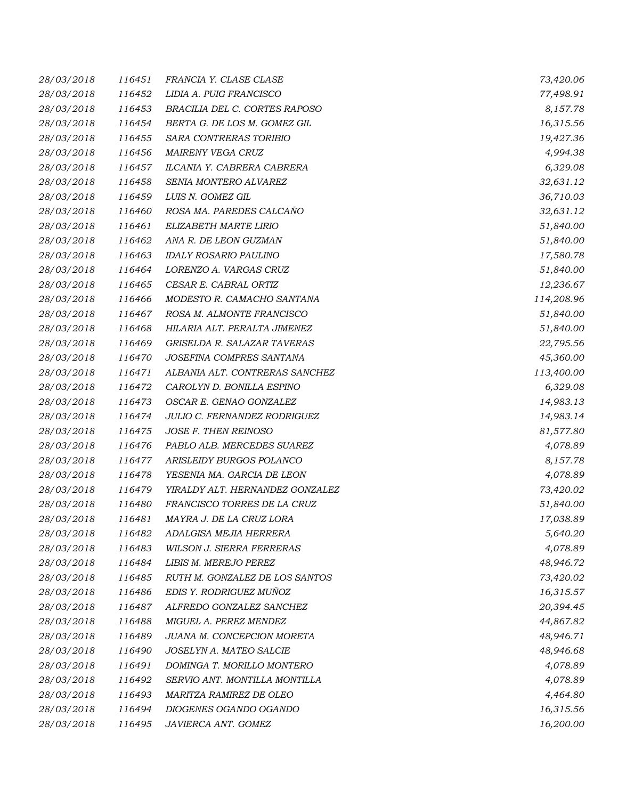| 28/03/2018 | 116451 | FRANCIA Y. CLASE CLASE           | 73,420.06  |
|------------|--------|----------------------------------|------------|
| 28/03/2018 | 116452 | LIDIA A. PUIG FRANCISCO          | 77,498.91  |
| 28/03/2018 | 116453 | BRACILIA DEL C. CORTES RAPOSO    | 8,157.78   |
| 28/03/2018 | 116454 | BERTA G. DE LOS M. GOMEZ GIL     | 16,315.56  |
| 28/03/2018 | 116455 | SARA CONTRERAS TORIBIO           | 19,427.36  |
| 28/03/2018 | 116456 | MAIRENY VEGA CRUZ                | 4,994.38   |
| 28/03/2018 | 116457 | ILCANIA Y. CABRERA CABRERA       | 6,329.08   |
| 28/03/2018 | 116458 | SENIA MONTERO ALVAREZ            | 32,631.12  |
| 28/03/2018 | 116459 | LUIS N. GOMEZ GIL                | 36,710.03  |
| 28/03/2018 | 116460 | ROSA MA. PAREDES CALCAÑO         | 32,631.12  |
| 28/03/2018 | 116461 | ELIZABETH MARTE LIRIO            | 51,840.00  |
| 28/03/2018 | 116462 | ANA R. DE LEON GUZMAN            | 51,840.00  |
| 28/03/2018 | 116463 | <b>IDALY ROSARIO PAULINO</b>     | 17,580.78  |
| 28/03/2018 | 116464 | LORENZO A. VARGAS CRUZ           | 51,840.00  |
| 28/03/2018 | 116465 | CESAR E. CABRAL ORTIZ            | 12,236.67  |
| 28/03/2018 | 116466 | MODESTO R. CAMACHO SANTANA       | 114,208.96 |
| 28/03/2018 | 116467 | ROSA M. ALMONTE FRANCISCO        | 51,840.00  |
| 28/03/2018 | 116468 | HILARIA ALT. PERALTA JIMENEZ     | 51,840.00  |
| 28/03/2018 | 116469 | GRISELDA R. SALAZAR TAVERAS      | 22,795.56  |
| 28/03/2018 | 116470 | JOSEFINA COMPRES SANTANA         | 45,360.00  |
| 28/03/2018 | 116471 | ALBANIA ALT. CONTRERAS SANCHEZ   | 113,400.00 |
| 28/03/2018 | 116472 | CAROLYN D. BONILLA ESPINO        | 6,329.08   |
| 28/03/2018 | 116473 | OSCAR E. GENAO GONZALEZ          | 14,983.13  |
| 28/03/2018 | 116474 | JULIO C. FERNANDEZ RODRIGUEZ     | 14,983.14  |
| 28/03/2018 | 116475 | JOSE F. THEN REINOSO             | 81,577.80  |
| 28/03/2018 | 116476 | PABLO ALB. MERCEDES SUAREZ       | 4,078.89   |
| 28/03/2018 | 116477 | ARISLEIDY BURGOS POLANCO         | 8,157.78   |
| 28/03/2018 | 116478 | YESENIA MA. GARCIA DE LEON       | 4,078.89   |
| 28/03/2018 | 116479 | YIRALDY ALT. HERNANDEZ GONZALEZ  | 73,420.02  |
| 28/03/2018 | 116480 | FRANCISCO TORRES DE LA CRUZ      | 51,840.00  |
| 28/03/2018 | 116481 | MAYRA J. DE LA CRUZ LORA         | 17,038.89  |
| 28/03/2018 | 116482 | ADALGISA MEJIA HERRERA           | 5,640.20   |
| 28/03/2018 | 116483 | <b>WILSON J. SIERRA FERRERAS</b> | 4,078.89   |
| 28/03/2018 | 116484 | LIBIS M. MEREJO PEREZ            | 48,946.72  |
| 28/03/2018 | 116485 | RUTH M. GONZALEZ DE LOS SANTOS   | 73,420.02  |
| 28/03/2018 | 116486 | EDIS Y. RODRIGUEZ MUÑOZ          | 16,315.57  |
| 28/03/2018 | 116487 | ALFREDO GONZALEZ SANCHEZ         | 20,394.45  |
| 28/03/2018 | 116488 | MIGUEL A. PEREZ MENDEZ           | 44,867.82  |
| 28/03/2018 | 116489 | JUANA M. CONCEPCION MORETA       | 48,946.71  |
| 28/03/2018 | 116490 | JOSELYN A. MATEO SALCIE          | 48,946.68  |
| 28/03/2018 | 116491 | DOMINGA T. MORILLO MONTERO       | 4,078.89   |
| 28/03/2018 | 116492 | SERVIO ANT. MONTILLA MONTILLA    | 4,078.89   |
| 28/03/2018 | 116493 | MARITZA RAMIREZ DE OLEO          | 4,464.80   |
| 28/03/2018 | 116494 | DIOGENES OGANDO OGANDO           | 16,315.56  |
| 28/03/2018 | 116495 | JAVIERCA ANT. GOMEZ              | 16,200.00  |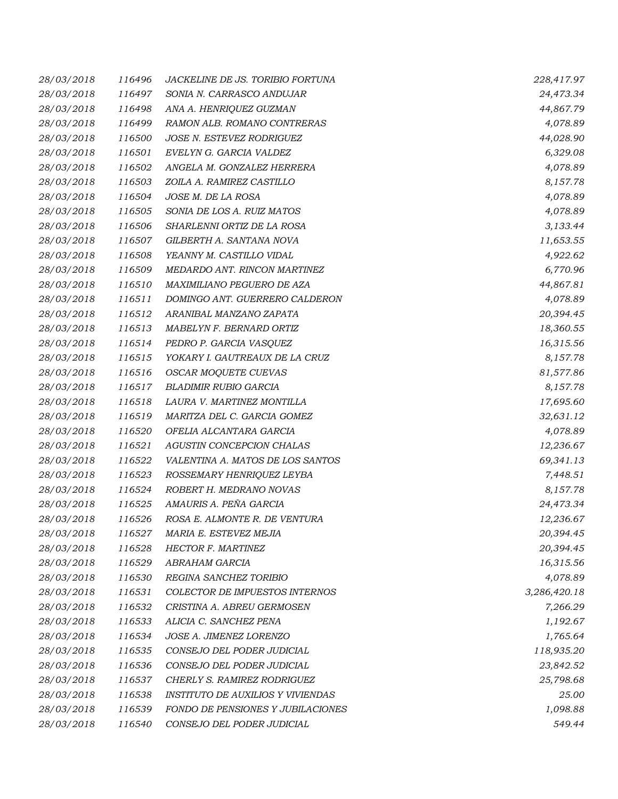| 28/03/2018 | 116496 | JACKELINE DE JS. TORIBIO FORTUNA         | 228,417.97   |
|------------|--------|------------------------------------------|--------------|
| 28/03/2018 | 116497 | SONIA N. CARRASCO ANDUJAR                | 24,473.34    |
| 28/03/2018 | 116498 | ANA A. HENRIQUEZ GUZMAN                  | 44,867.79    |
| 28/03/2018 | 116499 | RAMON ALB. ROMANO CONTRERAS              | 4,078.89     |
| 28/03/2018 | 116500 | JOSE N. ESTEVEZ RODRIGUEZ                | 44,028.90    |
| 28/03/2018 | 116501 | EVELYN G. GARCIA VALDEZ                  | 6,329.08     |
| 28/03/2018 | 116502 | ANGELA M. GONZALEZ HERRERA               | 4,078.89     |
| 28/03/2018 | 116503 | ZOILA A. RAMIREZ CASTILLO                | 8,157.78     |
| 28/03/2018 | 116504 | JOSE M. DE LA ROSA                       | 4,078.89     |
| 28/03/2018 | 116505 | SONIA DE LOS A. RUIZ MATOS               | 4,078.89     |
| 28/03/2018 | 116506 | SHARLENNI ORTIZ DE LA ROSA               | 3,133.44     |
| 28/03/2018 | 116507 | GILBERTH A. SANTANA NOVA                 | 11,653.55    |
| 28/03/2018 | 116508 | YEANNY M. CASTILLO VIDAL                 | 4,922.62     |
| 28/03/2018 | 116509 | MEDARDO ANT. RINCON MARTINEZ             | 6,770.96     |
| 28/03/2018 | 116510 | MAXIMILIANO PEGUERO DE AZA               | 44,867.81    |
| 28/03/2018 | 116511 | DOMINGO ANT. GUERRERO CALDERON           | 4,078.89     |
| 28/03/2018 | 116512 | ARANIBAL MANZANO ZAPATA                  | 20,394.45    |
| 28/03/2018 | 116513 | MABELYN F. BERNARD ORTIZ                 | 18,360.55    |
| 28/03/2018 | 116514 | PEDRO P. GARCIA VASQUEZ                  | 16,315.56    |
| 28/03/2018 | 116515 | YOKARY I. GAUTREAUX DE LA CRUZ           | 8,157.78     |
| 28/03/2018 | 116516 | OSCAR MOQUETE CUEVAS                     | 81,577.86    |
| 28/03/2018 | 116517 | <b>BLADIMIR RUBIO GARCIA</b>             | 8,157.78     |
| 28/03/2018 | 116518 | LAURA V. MARTINEZ MONTILLA               | 17,695.60    |
| 28/03/2018 | 116519 | MARITZA DEL C. GARCIA GOMEZ              | 32,631.12    |
| 28/03/2018 | 116520 | OFELIA ALCANTARA GARCIA                  | 4,078.89     |
| 28/03/2018 | 116521 | AGUSTIN CONCEPCION CHALAS                | 12,236.67    |
| 28/03/2018 | 116522 | VALENTINA A. MATOS DE LOS SANTOS         | 69,341.13    |
| 28/03/2018 | 116523 | ROSSEMARY HENRIQUEZ LEYBA                | 7,448.51     |
| 28/03/2018 | 116524 | ROBERT H. MEDRANO NOVAS                  | 8,157.78     |
| 28/03/2018 | 116525 | AMAURIS A. PEÑA GARCIA                   | 24,473.34    |
| 28/03/2018 | 116526 | ROSA E. ALMONTE R. DE VENTURA            | 12,236.67    |
| 28/03/2018 | 116527 | MARIA E. ESTEVEZ MEJIA                   | 20,394.45    |
| 28/03/2018 | 116528 | HECTOR F. MARTINEZ                       | 20,394.45    |
| 28/03/2018 | 116529 | ABRAHAM GARCIA                           | 16,315.56    |
| 28/03/2018 | 116530 | REGINA SANCHEZ TORIBIO                   | 4,078.89     |
| 28/03/2018 | 116531 | COLECTOR DE IMPUESTOS INTERNOS           | 3,286,420.18 |
| 28/03/2018 | 116532 | CRISTINA A. ABREU GERMOSEN               | 7,266.29     |
| 28/03/2018 | 116533 | ALICIA C. SANCHEZ PENA                   | 1,192.67     |
| 28/03/2018 | 116534 | JOSE A. JIMENEZ LORENZO                  | 1,765.64     |
| 28/03/2018 | 116535 | CONSEJO DEL PODER JUDICIAL               | 118,935.20   |
| 28/03/2018 | 116536 | CONSEJO DEL PODER JUDICIAL               | 23,842.52    |
| 28/03/2018 | 116537 | CHERLY S. RAMIREZ RODRIGUEZ              | 25,798.68    |
| 28/03/2018 | 116538 | <b>INSTITUTO DE AUXILIOS Y VIVIENDAS</b> | 25.00        |
| 28/03/2018 | 116539 | FONDO DE PENSIONES Y JUBILACIONES        | 1,098.88     |
| 28/03/2018 | 116540 | CONSEJO DEL PODER JUDICIAL               | 549.44       |